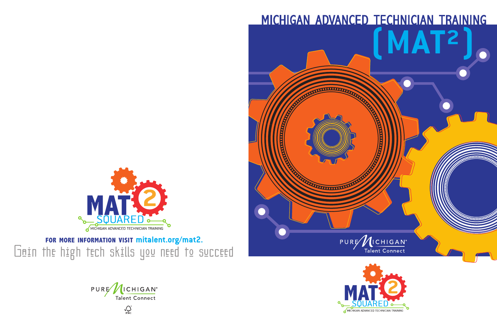**for more information visit mitalent.org/mat2.** Gain the high tech skills you need to succeed



 $\int_{\mathbf{r}\mathbf{S}\mathbf{C}}^{\circ}$ 

# michigan advanced technician training **(MAT²)**